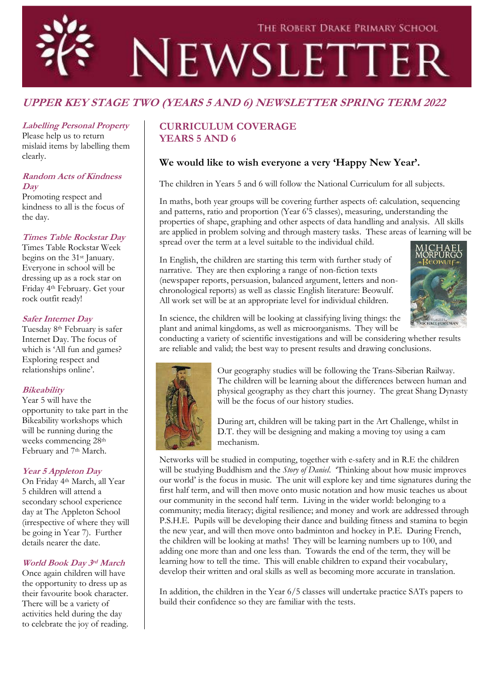

# **UPPER KEY STAGE TWO (YEARS 5 AND 6) NEWSLETTER SPRING TERM 2022**

### **Labelling Personal Property**

Please help us to return mislaid items by labelling them clearly.

#### **Random Acts of Kindness Day**

Promoting respect and kindness to all is the focus of the day.

#### **Times Table Rockstar Day**

Times Table Rockstar Week begins on the 31<sup>st</sup> January. Everyone in school will be dressing up as a rock star on Friday 4th February. Get your rock outfit ready!

#### **Safer Internet Day**

Tuesday 8th February is safer Internet Day. The focus of which is 'All fun and games? Exploring respect and relationships online'.

## **Bikeability**

Year 5 will have the opportunity to take part in the Bikeability workshops which will be running during the weeks commencing 28th February and 7<sup>th</sup> March.

## **Year 5 Appleton Day**

On Friday 4th March, all Year 5 children will attend a secondary school experience day at The Appleton School (irrespective of where they will be going in Year 7). Further details nearer the date.

# **World Book Day 3rd March**

Once again children will have the opportunity to dress up as their favourite book character. There will be a variety of activities held during the day to celebrate the joy of reading.

# **CURRICULUM COVERAGE YEARS 5 AND 6**

# **We would like to wish everyone a very 'Happy New Year'.**

The children in Years 5 and 6 will follow the National Curriculum for all subjects.

In maths, both year groups will be covering further aspects of: calculation, sequencing and patterns, ratio and proportion (Year 6'5 classes), measuring, understanding the properties of shape, graphing and other aspects of data handling and analysis. All skills are applied in problem solving and through mastery tasks. These areas of learning will be spread over the term at a level suitable to the individual child.

In English, the children are starting this term with further study of narrative. They are then exploring a range of non-fiction texts (newspaper reports, persuasion, balanced argument, letters and nonchronological reports) as well as classic English literature: Beowulf. All work set will be at an appropriate level for individual children.



In science, the children will be looking at classifying living things: the plant and animal kingdoms, as well as microorganisms. They will be

conducting a variety of scientific investigations and will be considering whether results are reliable and valid; the best way to present results and drawing conclusions.



Our geography studies will be following the Trans-Siberian Railway. The children will be learning about the differences between human and physical geography as they chart this journey. The great Shang Dynasty will be the focus of our history studies.

During art, children will be taking part in the Art Challenge, whilst in D.T. they will be designing and making a moving toy using a cam mechanism.

Networks will be studied in computing, together with e-safety and in R.E the children will be studying Buddhism and the *Story of Daniel*. 'Thinking about how music improves our world' is the focus in music. The unit will explore key and time signatures during the first half term, and will then move onto music notation and how music teaches us about our community in the second half term. Living in the wider world: belonging to a community; media literacy; digital resilience; and money and work are addressed through P.S.H.E. Pupils will be developing their dance and building fitness and stamina to begin the new year, and will then move onto badminton and hockey in P.E. During French, the children will be looking at maths! They will be learning numbers up to 100, and adding one more than and one less than. Towards the end of the term, they will be learning how to tell the time. This will enable children to expand their vocabulary, develop their written and oral skills as well as becoming more accurate in translation.

In addition, the children in the Year 6/5 classes will undertake practice SATs papers to build their confidence so they are familiar with the tests.